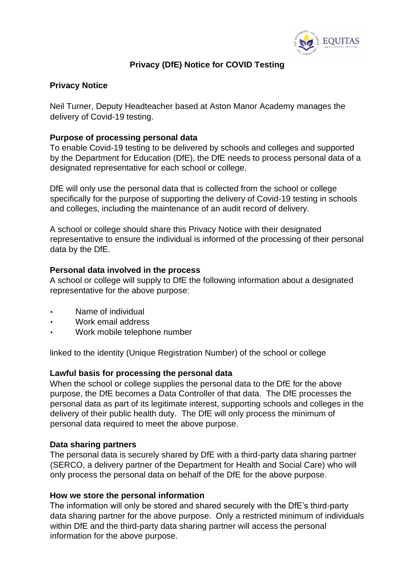

# **Privacy (DfE) Notice for COVID Testing**

# **Privacy Notice**

Neil Turner, Deputy Headteacher based at Aston Manor Academy manages the delivery of Covid-19 testing.

# **Purpose of processing personal data**

To enable Covid-19 testing to be delivered by schools and colleges and supported by the Department for Education (DfE), the DfE needs to process personal data of a designated representative for each school or college.

DfE will only use the personal data that is collected from the school or college specifically for the purpose of supporting the delivery of Covid-19 testing in schools and colleges, including the maintenance of an audit record of delivery.

A school or college should share this Privacy Notice with their designated representative to ensure the individual is informed of the processing of their personal data by the DfE.

#### **Personal data involved in the process**

A school or college will supply to DfE the following information about a designated representative for the above purpose:

- Name of individual
- Work email address
- Work mobile telephone number

linked to the identity (Unique Registration Number) of the school or college

## **Lawful basis for processing the personal data**

When the school or college supplies the personal data to the DfE for the above purpose, the DfE becomes a Data Controller of that data. The DfE processes the personal data as part of its legitimate interest, supporting schools and colleges in the delivery of their public health duty. The DfE will only process the minimum of personal data required to meet the above purpose.

## **Data sharing partners**

The personal data is securely shared by DfE with a third-party data sharing partner (SERCO, a delivery partner of the Department for Health and Social Care) who will only process the personal data on behalf of the DfE for the above purpose.

#### **How we store the personal information**

The information will only be stored and shared securely with the DfE's third-party data sharing partner for the above purpose. Only a restricted minimum of individuals within DfE and the third-party data sharing partner will access the personal information for the above purpose.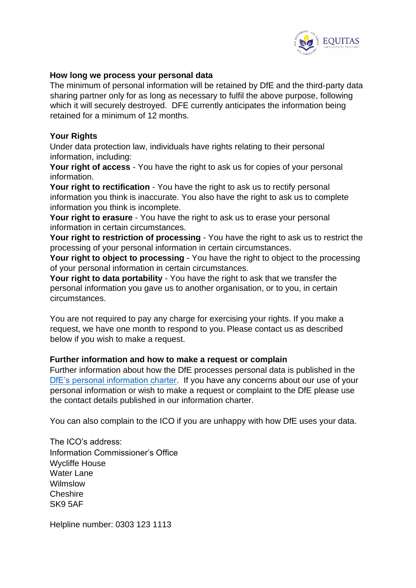

### **How long we process your personal data**

The minimum of personal information will be retained by DfE and the third-party data sharing partner only for as long as necessary to fulfil the above purpose, following which it will securely destroyed. DFE currently anticipates the information being retained for a minimum of 12 months.

### **Your Rights**

Under data protection law, individuals have rights relating to their personal information, including:

**Your right of access** - You have the right to ask us for copies of your personal information.

**Your right to rectification** - You have the right to ask us to rectify personal information you think is inaccurate. You also have the right to ask us to complete information you think is incomplete.

**Your right to erasure** - You have the right to ask us to erase your personal information in certain circumstances.

**Your right to restriction of processing** - You have the right to ask us to restrict the processing of your personal information in certain circumstances.

**Your right to object to processing** - You have the right to object to the processing of your personal information in certain circumstances.

**Your right to data portability** - You have the right to ask that we transfer the personal information you gave us to another organisation, or to you, in certain circumstances.

You are not required to pay any charge for exercising your rights. If you make a request, we have one month to respond to you. Please contact us as described below if you wish to make a request.

## **Further information and how to make a request or complain**

Further information about how the DfE processes personal data is published in the [DfE's personal information charter.](https://www.gov.uk/government/organisations/department-for-education/about/personal-information-charter) If you have any concerns about our use of your personal information or wish to make a request or complaint to the DfE please use the contact details published in our information charter.

You can also complain to the ICO if you are unhappy with how DfE uses your data.

The ICO's address: Information Commissioner's Office Wycliffe House Water Lane Wilmslow Cheshire SK9 5AF

Helpline number: 0303 123 1113